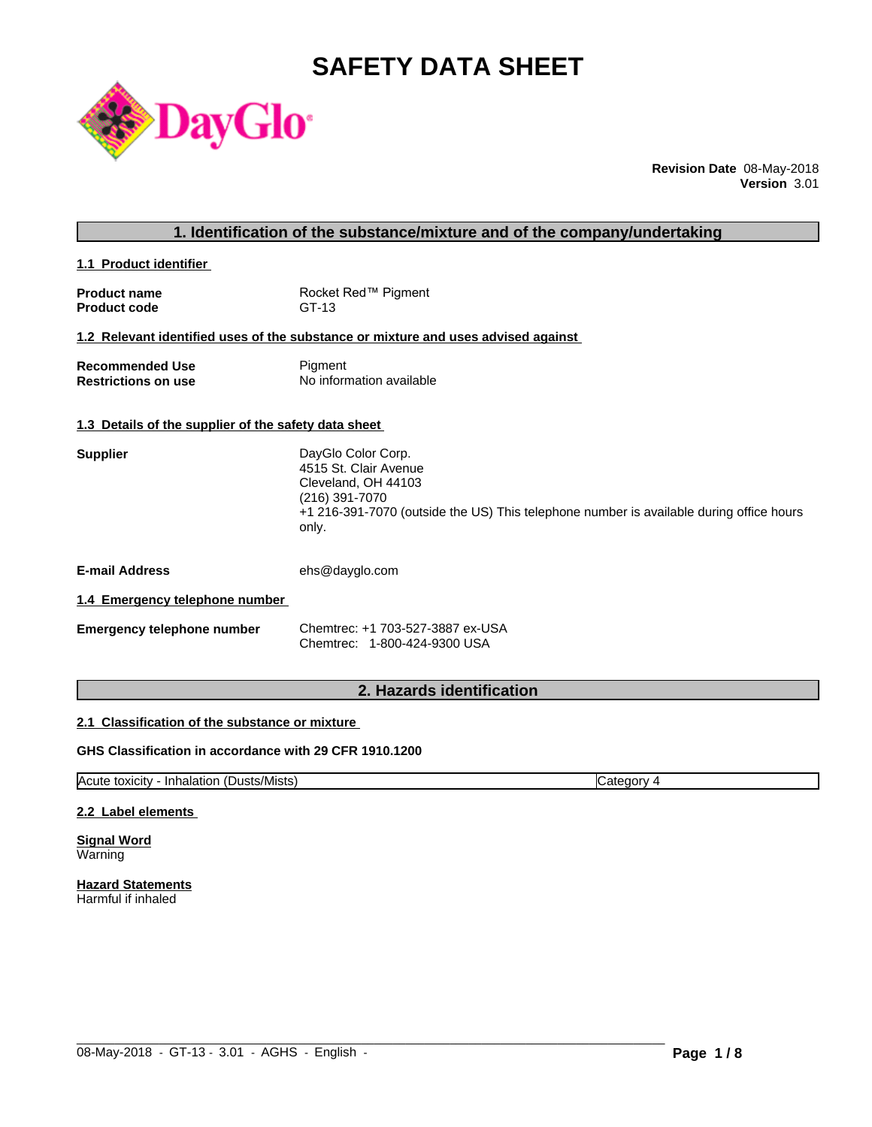# **SAFETY DATA SHEET**



**Revision Date** 08-May-2018 **Version** 3.01

**1.1 Product identifier** 

| <b>Product name</b> | Rocket Red™ Pigment |
|---------------------|---------------------|
| <b>Product code</b> | GT-13               |

### **1.2 Relevant identified uses of the substance or mixture and uses advised against**

| <b>Recommended Use</b>     | Pigment                  |
|----------------------------|--------------------------|
| <b>Restrictions on use</b> | No information available |

#### **1.3 Details of the supplier of the safety data sheet**

| 4515 St. Clair Avenue<br>Cleveland, OH 44103<br>(216) 391-7070                                   |  |
|--------------------------------------------------------------------------------------------------|--|
|                                                                                                  |  |
|                                                                                                  |  |
|                                                                                                  |  |
| +1 216-391-7070 (outside the US) This telephone number is available during office hours<br>only. |  |

**E-mail Address** ehs@dayglo.com

#### **1.4 Emergency telephone number**

| Emergency telephone number | Chemtrec: +1 703-527-3887 ex-USA |
|----------------------------|----------------------------------|
|                            | Chemtrec: 1-800-424-9300 USA     |

# **2. Hazards identification**

#### **2.1 Classification of the substance or mixture**

### **GHS Classification in accordance with 29 CFR 1910.1200**

Acute toxicity - Inhalation (Dusts/Mists) Category 4

 $\_$  ,  $\_$  ,  $\_$  ,  $\_$  ,  $\_$  ,  $\_$  ,  $\_$  ,  $\_$  ,  $\_$  ,  $\_$  ,  $\_$  ,  $\_$  ,  $\_$  ,  $\_$  ,  $\_$  ,  $\_$  ,  $\_$  ,  $\_$  ,  $\_$  ,  $\_$  ,  $\_$  ,  $\_$  ,  $\_$  ,  $\_$  ,  $\_$  ,  $\_$  ,  $\_$  ,  $\_$  ,  $\_$  ,  $\_$  ,  $\_$  ,  $\_$  ,  $\_$  ,  $\_$  ,  $\_$  ,  $\_$  ,  $\_$  ,

#### **2.2 Label elements**

**Signal Word** Warning

**Hazard Statements** Harmful if inhaled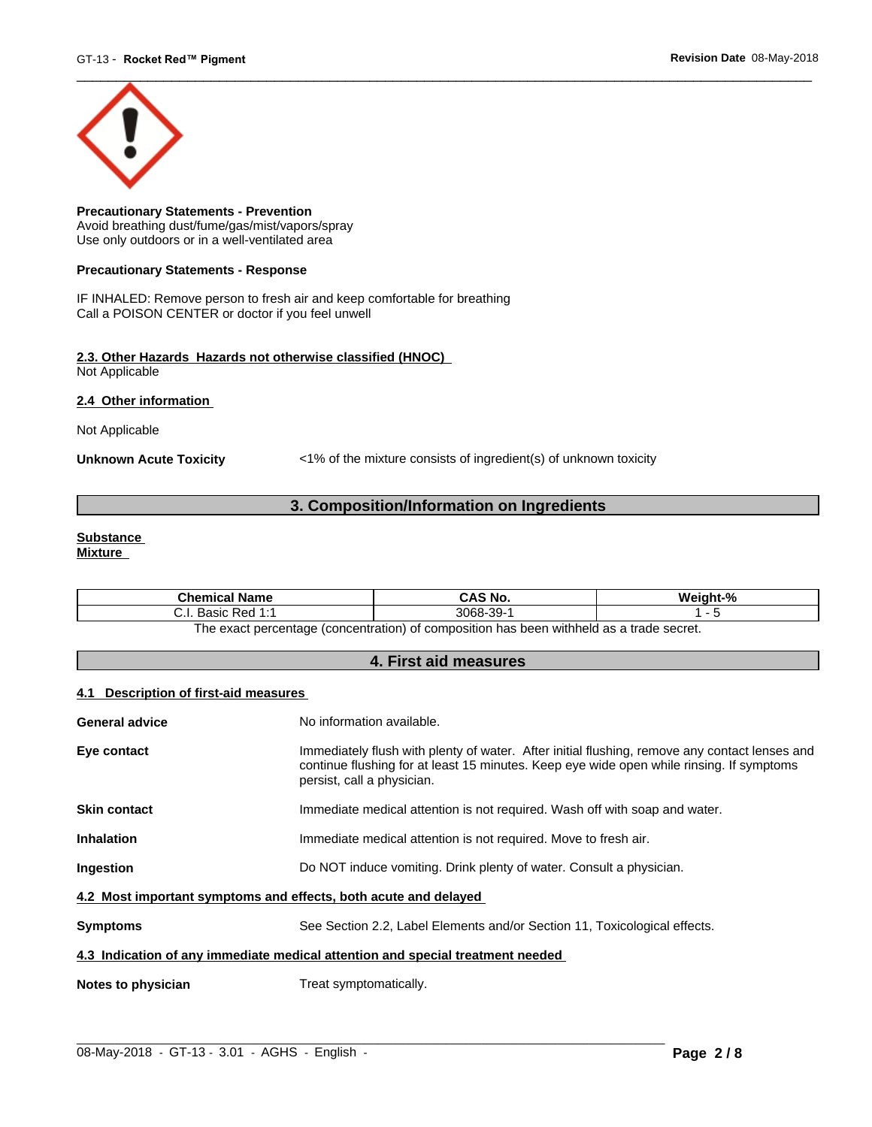

**Precautionary Statements - Prevention** Avoid breathing dust/fume/gas/mist/vapors/spray Use only outdoors or in a well-ventilated area

#### **Precautionary Statements - Response**

IF INHALED: Remove person to fresh air and keep comfortable for breathing Call a POISON CENTER or doctor if you feel unwell

#### **2.3. Other Hazards Hazards not otherwise classified (HNOC)** Not Applicable

**2.4 Other information** 

Not Applicable

**Unknown Acute Toxicity** <1% of the mixture consists of ingredient(s) of unknown toxicity

# **3. Composition/Information on Ingredients**

#### **Substance Mixture**

| <b>Chemical Name</b>                                | CAS No.   | Weight-%                               |
|-----------------------------------------------------|-----------|----------------------------------------|
| . Basic Red 1:1<br>. ا . ب                          | 3068-39-1 |                                        |
| The exact percentage (concentration) of composition |           | n has been withheld as a trade secret. |

**4. First aid measures**

#### **4.1 Description of first-aid measures**

| General advice                                                                 | No information available.                                                                                                                                                                                               |
|--------------------------------------------------------------------------------|-------------------------------------------------------------------------------------------------------------------------------------------------------------------------------------------------------------------------|
| Eye contact                                                                    | Immediately flush with plenty of water. After initial flushing, remove any contact lenses and<br>continue flushing for at least 15 minutes. Keep eye wide open while rinsing. If symptoms<br>persist, call a physician. |
| <b>Skin contact</b>                                                            | Immediate medical attention is not required. Wash off with soap and water.                                                                                                                                              |
| <b>Inhalation</b>                                                              | Immediate medical attention is not required. Move to fresh air.                                                                                                                                                         |
| Ingestion                                                                      | Do NOT induce vomiting. Drink plenty of water. Consult a physician.                                                                                                                                                     |
| 4.2 Most important symptoms and effects, both acute and delayed                |                                                                                                                                                                                                                         |
| <b>Symptoms</b>                                                                | See Section 2.2, Label Elements and/or Section 11, Toxicological effects.                                                                                                                                               |
| 4.3 Indication of any immediate medical attention and special treatment needed |                                                                                                                                                                                                                         |
| Notes to physician                                                             | Treat symptomatically.                                                                                                                                                                                                  |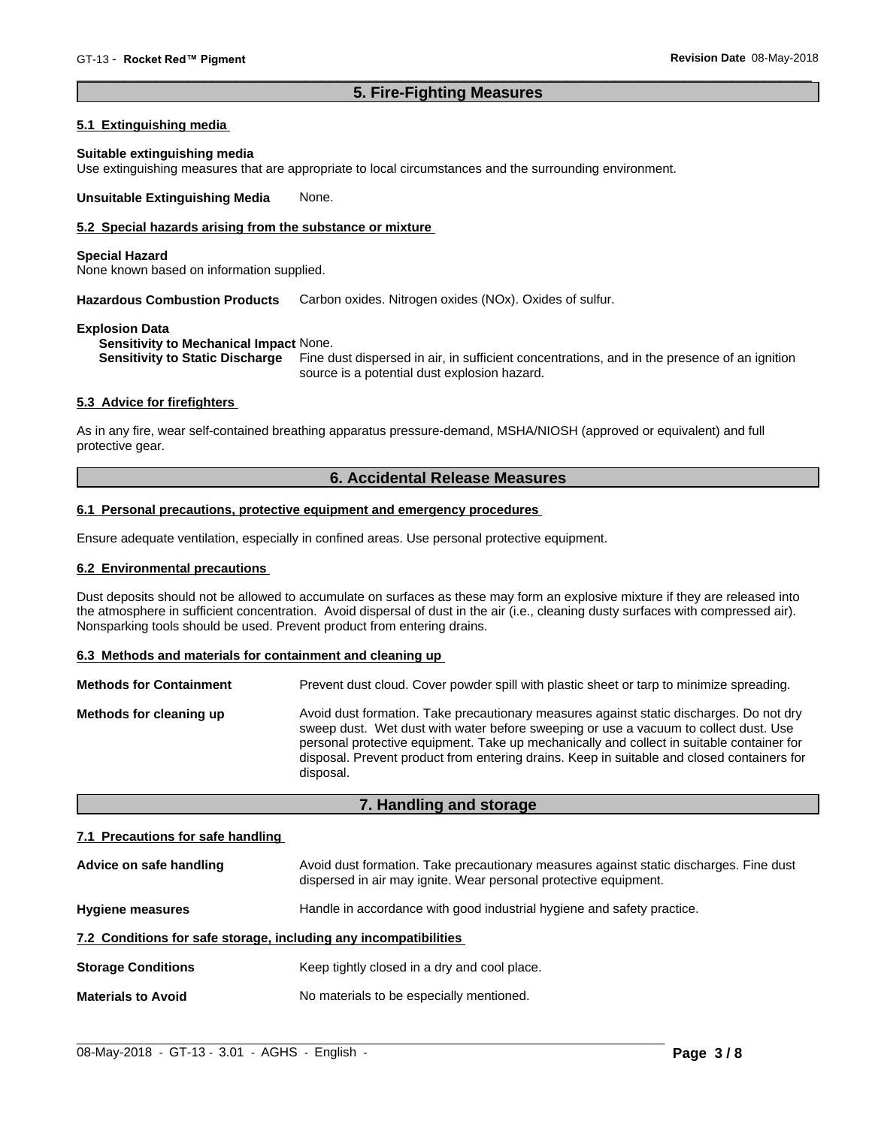# **5. Fire-Fighting Measures**

#### **5.1 Extinguishing media**

#### **Suitable extinguishing media**

Use extinguishing measures that are appropriate to local circumstances and the surrounding environment.

**Unsuitable Extinguishing Media** None.

### **5.2 Special hazards arising from the substance or mixture**

#### **Special Hazard**

None known based on information supplied.

**Hazardous Combustion Products** Carbon oxides. Nitrogen oxides (NOx). Oxides of sulfur.

#### **Explosion Data**

**Sensitivity to Mechanical Impact** None.

**Sensitivity to Static Discharge** Fine dust dispersed in air, in sufficient concentrations, and in the presence of an ignition source is a potential dust explosion hazard.

#### **5.3 Advice for firefighters**

As in any fire, wear self-contained breathing apparatus pressure-demand, MSHA/NIOSH (approved or equivalent) and full protective gear.

# **6. Accidental Release Measures**

#### **6.1 Personal precautions, protective equipment and emergency procedures**

Ensure adequate ventilation, especially in confined areas. Use personal protective equipment.

#### **6.2 Environmental precautions**

Dust deposits should not be allowed to accumulate on surfaces as these may form an explosive mixture if they are released into the atmosphere in sufficient concentration. Avoid dispersal of dust in the air (i.e., cleaning dusty surfaces with compressed air). Nonsparking tools should be used. Prevent product from entering drains.

#### **6.3 Methods and materials for containment and cleaning up**

| <b>Methods for Containment</b> | Prevent dust cloud. Cover powder spill with plastic sheet or tarp to minimize spreading.                                                                                                                                                                                                                                                                                                |
|--------------------------------|-----------------------------------------------------------------------------------------------------------------------------------------------------------------------------------------------------------------------------------------------------------------------------------------------------------------------------------------------------------------------------------------|
| Methods for cleaning up        | Avoid dust formation. Take precautionary measures against static discharges. Do not dry<br>sweep dust. Wet dust with water before sweeping or use a vacuum to collect dust. Use<br>personal protective equipment. Take up mechanically and collect in suitable container for<br>disposal. Prevent product from entering drains. Keep in suitable and closed containers for<br>disposal. |

#### **7. Handling and storage**

#### **7.1 Precautions for safe handling**

| Advice on safe handling                                          | Avoid dust formation. Take precautionary measures against static discharges. Fine dust<br>dispersed in air may ignite. Wear personal protective equipment. |
|------------------------------------------------------------------|------------------------------------------------------------------------------------------------------------------------------------------------------------|
| <b>Hygiene measures</b>                                          | Handle in accordance with good industrial hygiene and safety practice.                                                                                     |
| 7.2 Conditions for safe storage, including any incompatibilities |                                                                                                                                                            |
| <b>Storage Conditions</b>                                        | Keep tightly closed in a dry and cool place.                                                                                                               |
| <b>Materials to Avoid</b>                                        | No materials to be especially mentioned.                                                                                                                   |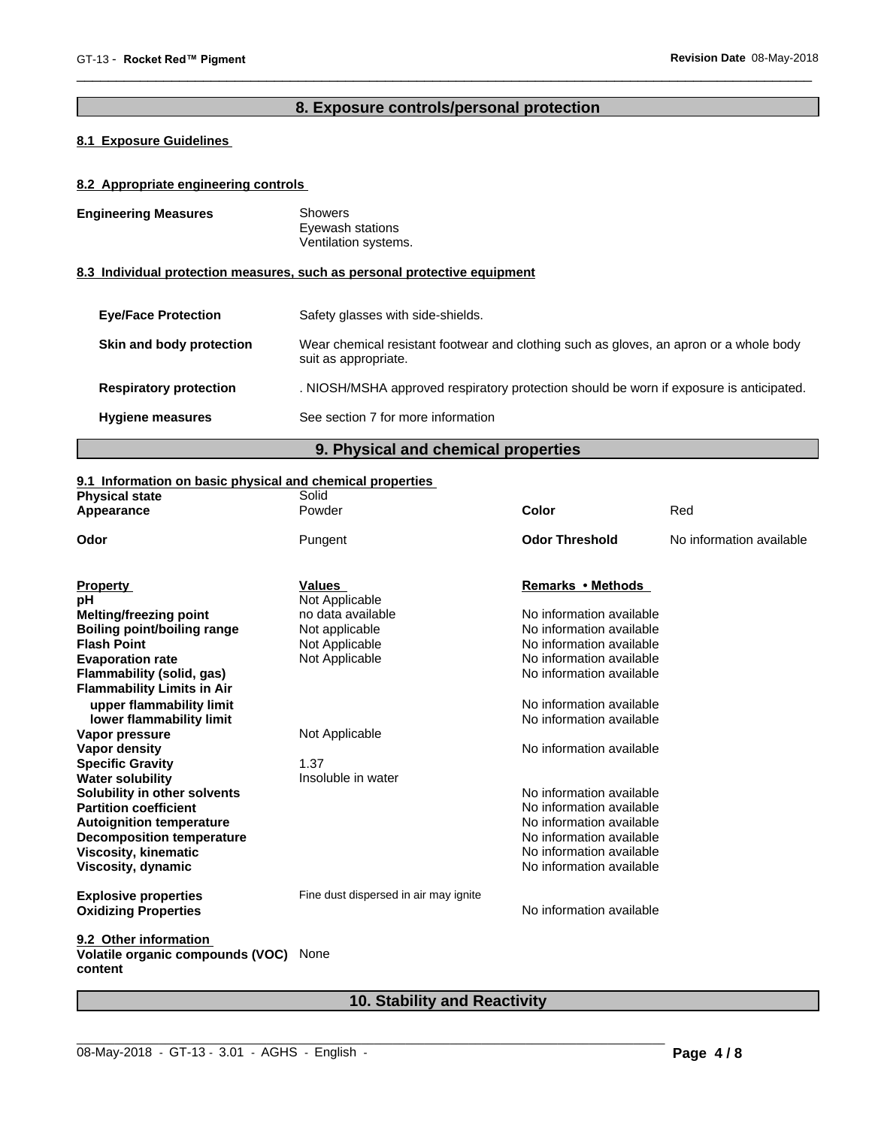# **8. Exposure controls/personal protection**

# **8.1 Exposure Guidelines**

### **8.2 Appropriate engineering controls**

| <b>Engineering Measures</b>   | Showers<br>Eyewash stations<br>Ventilation systems.                                                            |
|-------------------------------|----------------------------------------------------------------------------------------------------------------|
|                               | 8.3 Individual protection measures, such as personal protective equipment                                      |
| <b>Eve/Face Protection</b>    | Safety glasses with side-shields.                                                                              |
| Skin and body protection      | Wear chemical resistant footwear and clothing such as gloves, an apron or a whole body<br>suit as appropriate. |
| <b>Respiratory protection</b> | . NIOSH/MSHA approved respiratory protection should be worn if exposure is anticipated.                        |

**Hygiene measures** See section 7 for more information

# **9. Physical and chemical properties**

#### **9.1 Information on basic physical and chemical properties**

| Powder<br>Red<br>Color<br>Appearance<br><b>Odor Threshold</b><br>No information available<br>Odor<br>Pungent<br><b>Values</b><br>Remarks • Methods |  |
|----------------------------------------------------------------------------------------------------------------------------------------------------|--|
|                                                                                                                                                    |  |
|                                                                                                                                                    |  |
| <b>Property</b>                                                                                                                                    |  |
| Not Applicable<br>рH                                                                                                                               |  |
| no data available<br>No information available<br><b>Melting/freezing point</b>                                                                     |  |
| <b>Boiling point/boiling range</b><br>No information available<br>Not applicable                                                                   |  |
| No information available<br><b>Flash Point</b><br>Not Applicable                                                                                   |  |
| Not Applicable<br>No information available<br><b>Evaporation rate</b>                                                                              |  |
| No information available<br>Flammability (solid, gas)                                                                                              |  |
| <b>Flammability Limits in Air</b>                                                                                                                  |  |
| upper flammability limit<br>No information available                                                                                               |  |
| No information available<br>lower flammability limit                                                                                               |  |
| Not Applicable<br>Vapor pressure                                                                                                                   |  |
| No information available<br>Vapor density                                                                                                          |  |
| 1.37<br><b>Specific Gravity</b>                                                                                                                    |  |
| <b>Water solubility</b><br>Insoluble in water                                                                                                      |  |
| No information available<br>Solubility in other solvents                                                                                           |  |
| <b>Partition coefficient</b><br>No information available                                                                                           |  |
| No information available<br><b>Autoignition temperature</b>                                                                                        |  |
| No information available<br><b>Decomposition temperature</b>                                                                                       |  |
| No information available<br><b>Viscosity, kinematic</b>                                                                                            |  |
| No information available<br>Viscosity, dynamic                                                                                                     |  |
| Fine dust dispersed in air may ignite<br><b>Explosive properties</b>                                                                               |  |
| No information available<br><b>Oxidizing Properties</b>                                                                                            |  |
| 9.2 Other information                                                                                                                              |  |
| Volatile organic compounds (VOC)<br>None<br>content                                                                                                |  |

# **10. Stability and Reactivity**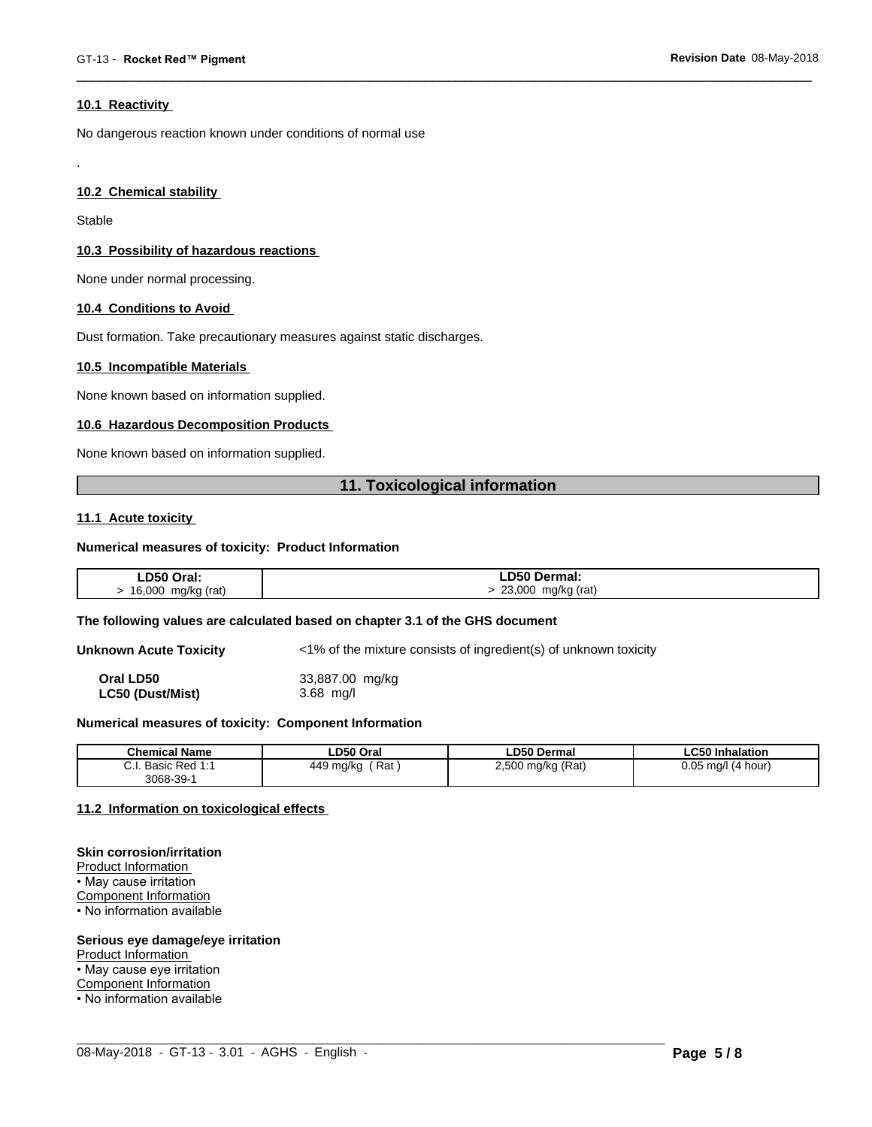#### **10.1 Reactivity**

No dangerous reaction known under conditions of normal use

### **10.2 Chemical stability**

Stable

.

#### **10.3 Possibility of hazardous reactions**

None under normal processing.

#### **10.4 Conditions to Avoid**

Dust formation. Take precautionary measures against static discharges.

#### **10.5 Incompatible Materials**

None known based on information supplied.

#### **10.6 Hazardous Decomposition Products**

None known based on information supplied.

# **11. Toxicological information**

#### **11.1 Acute toxicity**

#### **Numerical measures of toxicity: Product Information**

| LD50 Oral:                      | LD50 Dermal:                             |
|---------------------------------|------------------------------------------|
| mg/kg (rat)<br>16,000<br>J<br>ີ | 23,000<br>mg/kg (rat)<br>$\cdot$ $\cdot$ |

#### **The following values are calculated based on chapter 3.1 of the GHS document**

**Unknown Acute Toxicity** <1% of the mixture consists of ingredient(s) of unknown toxicity

**Oral LD50** 33,887.00 mg/kg **LC50 (Dust/Mist)** 3.68 mg/l

### **Numerical measures of toxicity: Component Information**

| <b>Chemical Name</b>                                                                | LD50 Oral        | <b>LD50 Dermal</b>     | <b>LC50 Inhalation</b>   |
|-------------------------------------------------------------------------------------|------------------|------------------------|--------------------------|
| $\sim$<br>$Dod$ 4.4<br><b>Dooin</b><br><b>D</b> asic<br>$\mathsf{r}$ Req.i.<br>υ.ι. | Rat<br>449 mg/kg | ) mg/kg (Rat)<br>2,500 | 0.05<br>(4 hour)<br>ma/l |
| $3068 - 39 - 7$                                                                     |                  |                        |                          |

 $\_$  ,  $\_$  ,  $\_$  ,  $\_$  ,  $\_$  ,  $\_$  ,  $\_$  ,  $\_$  ,  $\_$  ,  $\_$  ,  $\_$  ,  $\_$  ,  $\_$  ,  $\_$  ,  $\_$  ,  $\_$  ,  $\_$  ,  $\_$  ,  $\_$  ,  $\_$  ,  $\_$  ,  $\_$  ,  $\_$  ,  $\_$  ,  $\_$  ,  $\_$  ,  $\_$  ,  $\_$  ,  $\_$  ,  $\_$  ,  $\_$  ,  $\_$  ,  $\_$  ,  $\_$  ,  $\_$  ,  $\_$  ,  $\_$  ,

#### **11.2 Information on toxicologicaleffects**

#### **Skin corrosion/irritation**

Product Information • May cause irritation Component Information • No information available

#### **Serious eye damage/eye irritation**

Product Information

• May cause eye irritation

Component Information

• No information available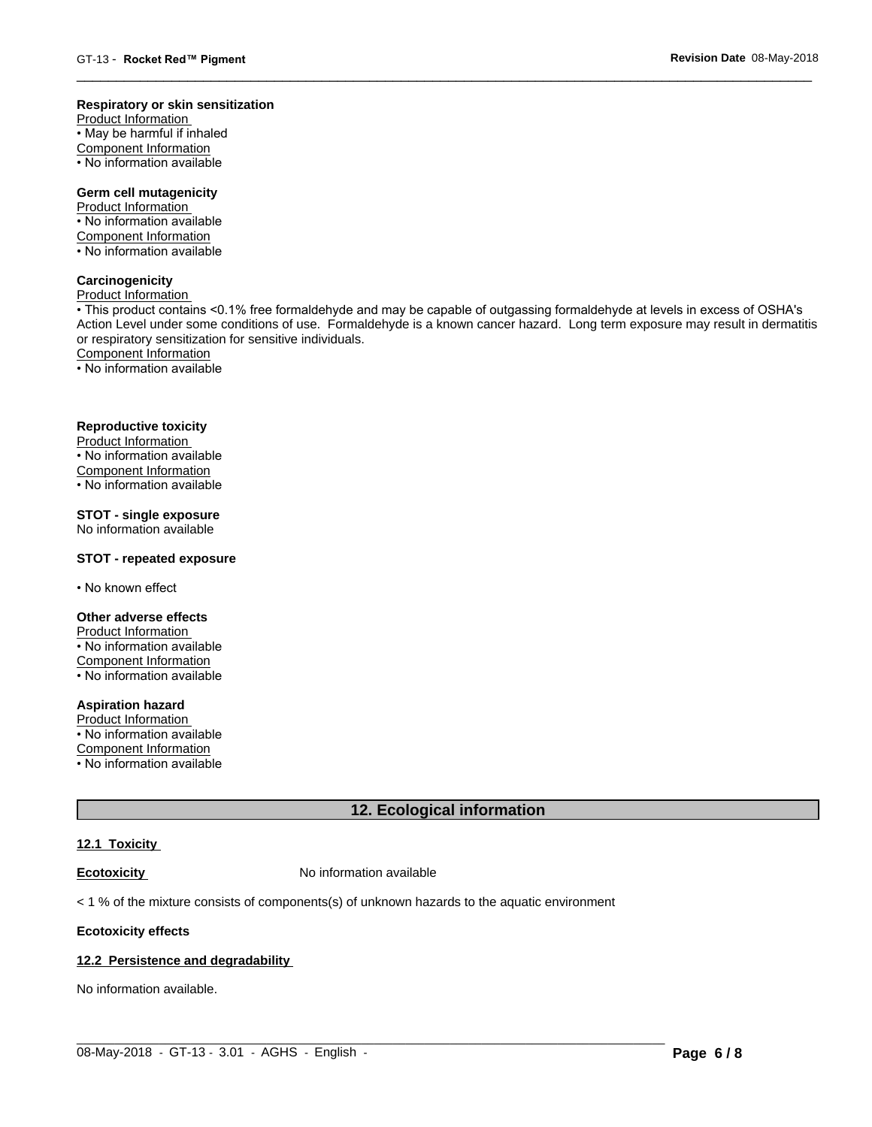#### **Respiratory or skin sensitization**

Product Information  $\overline{\cdot}$  May be harmful if inhaled Component Information • No information available

# **Germ cell mutagenicity**

Product Information • No information available Component Information • No information available

# **Carcinogenicity**

Product Information

• This product contains <0.1% free formaldehyde and may be capable of outgassing formaldehyde at levels in excess of OSHA's Action Level under some conditions of use. Formaldehyde is a known cancer hazard. Long term exposure may result in dermatitis or respiratory sensitization for sensitive individuals.Component Information

• No information available

#### **Reproductive toxicity**

Product Information • No information available

Component Information

• No information available

# **STOT - single exposure**

No information available

#### **STOT - repeated exposure**

• No known effect

#### **Other adverse effects**

Product Information • No information available Component Information • No information available

# **Aspiration hazard**

Product Information • No information available

Component Information

• No information available

# **12. Ecological information**

# **12.1 Toxicity**

**Ecotoxicity No information available** 

 $<$  1 % of the mixture consists of components(s) of unknown hazards to the aquatic environment

#### **Ecotoxicity effects**

#### **12.2 Persistence and degradability**

No information available.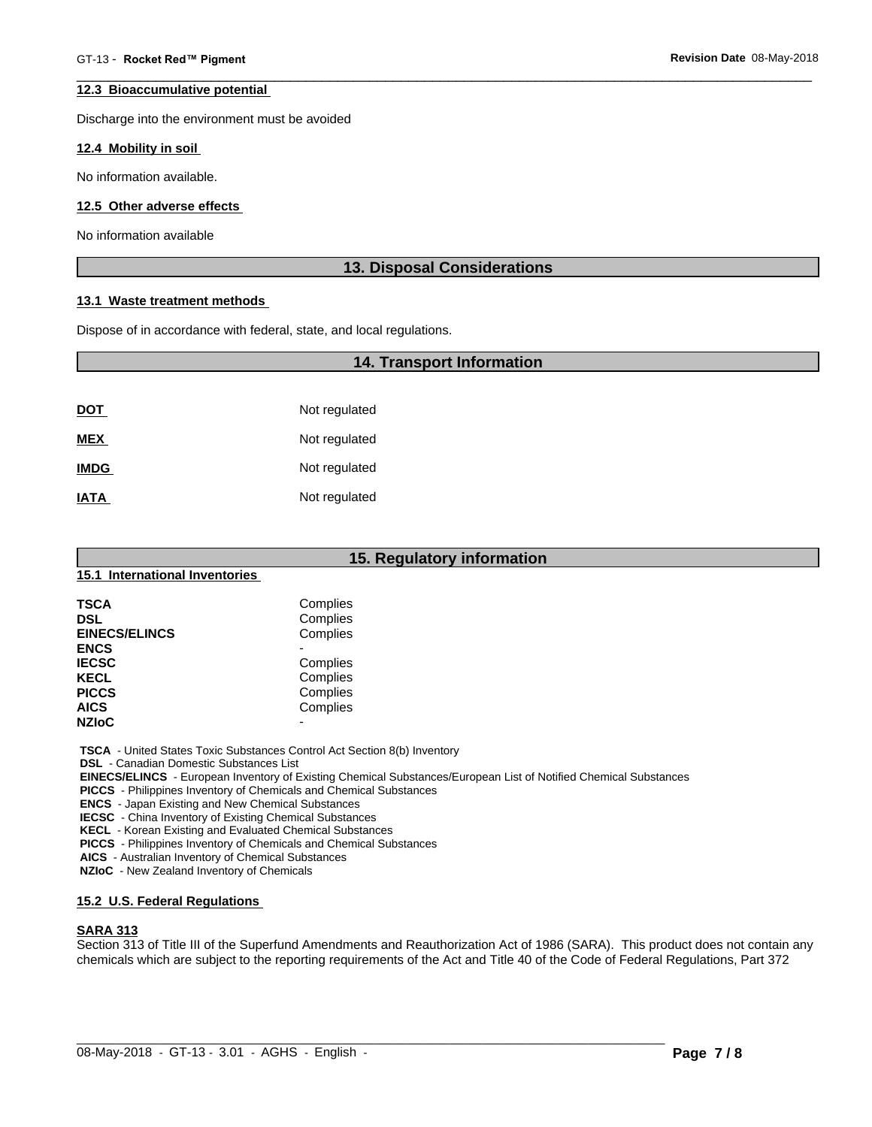#### **12.3 Bioaccumulative potential**

Discharge into the environment must be avoided

#### **12.4 Mobility in soil**

No information available.

#### **12.5 Other adverse effects**

No information available

# **13. Disposal Considerations**

#### **13.1 Waste treatment methods**

Dispose of in accordance with federal, state, and local regulations.

# **14. Transport Information**

| <u>DOT</u>  | Not regulated |
|-------------|---------------|
| <b>MEX</b>  | Not regulated |
| <b>IMDG</b> | Not regulated |
| <b>IATA</b> | Not regulated |

| 15. Regulatory information     |                          |  |  |  |  |
|--------------------------------|--------------------------|--|--|--|--|
| 15.1 International Inventories |                          |  |  |  |  |
| <b>TSCA</b>                    | Complies                 |  |  |  |  |
| <b>DSL</b>                     | Complies                 |  |  |  |  |
| <b>EINECS/ELINCS</b>           | Complies                 |  |  |  |  |
| <b>ENCS</b>                    |                          |  |  |  |  |
| <b>IECSC</b>                   | Complies                 |  |  |  |  |
| <b>KECL</b>                    | Complies                 |  |  |  |  |
| <b>PICCS</b>                   | Complies                 |  |  |  |  |
| <b>AICS</b>                    | Complies                 |  |  |  |  |
| <b>NZIoC</b>                   | $\overline{\phantom{0}}$ |  |  |  |  |

 **TSCA** - United States Toxic Substances Control Act Section 8(b) Inventory

 **DSL** - Canadian Domestic Substances List

 **EINECS/ELINCS** - European Inventory of Existing Chemical Substances/European List of Notified Chemical Substances

 **PICCS** - Philippines Inventory of Chemicals and Chemical Substances

 **ENCS** - Japan Existing and New Chemical Substances

 **IECSC** - China Inventory of Existing Chemical Substances

 **KECL** - Korean Existing and Evaluated Chemical Substances

 **PICCS** - Philippines Inventory of Chemicals and Chemical Substances

 **AICS** - Australian Inventory of Chemical Substances

 **NZIoC** - New Zealand Inventory of Chemicals

# **15.2 U.S. Federal Regulations**

# **SARA 313**

Section 313 of Title III of the Superfund Amendments and Reauthorization Act of 1986 (SARA). This product does not contain any chemicals which are subject to the reporting requirements of the Act and Title 40 of the Code of Federal Regulations, Part 372